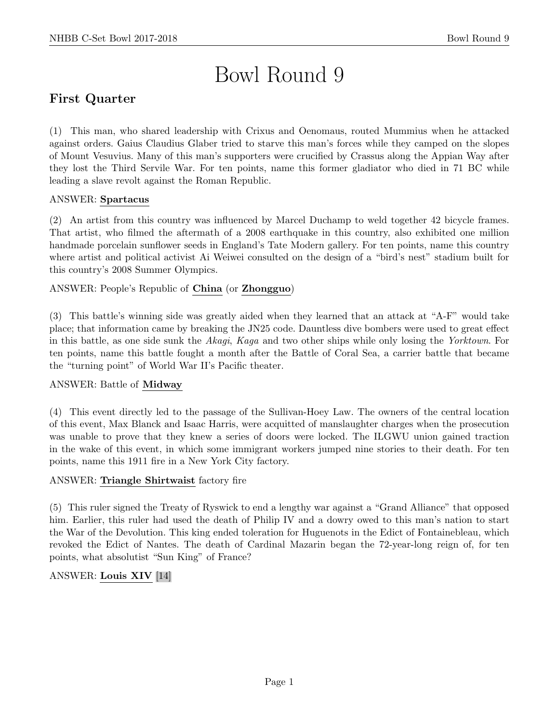# Bowl Round 9

# First Quarter

(1) This man, who shared leadership with Crixus and Oenomaus, routed Mummius when he attacked against orders. Gaius Claudius Glaber tried to starve this man's forces while they camped on the slopes of Mount Vesuvius. Many of this man's supporters were crucified by Crassus along the Appian Way after they lost the Third Servile War. For ten points, name this former gladiator who died in 71 BC while leading a slave revolt against the Roman Republic.

# ANSWER: Spartacus

(2) An artist from this country was influenced by Marcel Duchamp to weld together 42 bicycle frames. That artist, who filmed the aftermath of a 2008 earthquake in this country, also exhibited one million handmade porcelain sunflower seeds in England's Tate Modern gallery. For ten points, name this country where artist and political activist Ai Weiwei consulted on the design of a "bird's nest" stadium built for this country's 2008 Summer Olympics.

# ANSWER: People's Republic of China (or Zhongguo)

(3) This battle's winning side was greatly aided when they learned that an attack at "A-F" would take place; that information came by breaking the JN25 code. Dauntless dive bombers were used to great effect in this battle, as one side sunk the Akagi, Kaga and two other ships while only losing the Yorktown. For ten points, name this battle fought a month after the Battle of Coral Sea, a carrier battle that became the "turning point" of World War II's Pacific theater.

## ANSWER: Battle of Midway

(4) This event directly led to the passage of the Sullivan-Hoey Law. The owners of the central location of this event, Max Blanck and Isaac Harris, were acquitted of manslaughter charges when the prosecution was unable to prove that they knew a series of doors were locked. The ILGWU union gained traction in the wake of this event, in which some immigrant workers jumped nine stories to their death. For ten points, name this 1911 fire in a New York City factory.

## ANSWER: Triangle Shirtwaist factory fire

(5) This ruler signed the Treaty of Ryswick to end a lengthy war against a "Grand Alliance" that opposed him. Earlier, this ruler had used the death of Philip IV and a dowry owed to this man's nation to start the War of the Devolution. This king ended toleration for Huguenots in the Edict of Fontainebleau, which revoked the Edict of Nantes. The death of Cardinal Mazarin began the 72-year-long reign of, for ten points, what absolutist "Sun King" of France?

# ANSWER: Louis XIV [14]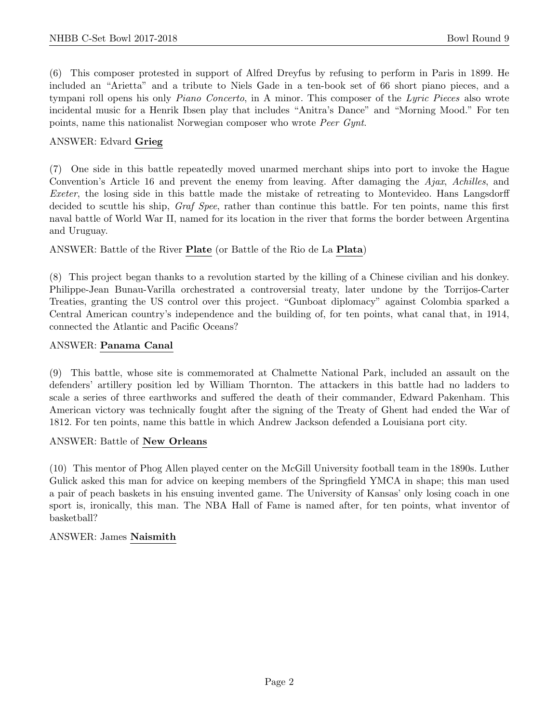(6) This composer protested in support of Alfred Dreyfus by refusing to perform in Paris in 1899. He included an "Arietta" and a tribute to Niels Gade in a ten-book set of 66 short piano pieces, and a tympani roll opens his only Piano Concerto, in A minor. This composer of the Lyric Pieces also wrote incidental music for a Henrik Ibsen play that includes "Anitra's Dance" and "Morning Mood." For ten points, name this nationalist Norwegian composer who wrote Peer Gynt.

# ANSWER: Edvard Grieg

(7) One side in this battle repeatedly moved unarmed merchant ships into port to invoke the Hague Convention's Article 16 and prevent the enemy from leaving. After damaging the Ajax, Achilles, and Exeter, the losing side in this battle made the mistake of retreating to Montevideo. Hans Langsdorff decided to scuttle his ship, *Graf Spee*, rather than continue this battle. For ten points, name this first naval battle of World War II, named for its location in the river that forms the border between Argentina and Uruguay.

ANSWER: Battle of the River Plate (or Battle of the Rio de La Plata)

(8) This project began thanks to a revolution started by the killing of a Chinese civilian and his donkey. Philippe-Jean Bunau-Varilla orchestrated a controversial treaty, later undone by the Torrijos-Carter Treaties, granting the US control over this project. "Gunboat diplomacy" against Colombia sparked a Central American country's independence and the building of, for ten points, what canal that, in 1914, connected the Atlantic and Pacific Oceans?

#### ANSWER: Panama Canal

(9) This battle, whose site is commemorated at Chalmette National Park, included an assault on the defenders' artillery position led by William Thornton. The attackers in this battle had no ladders to scale a series of three earthworks and suffered the death of their commander, Edward Pakenham. This American victory was technically fought after the signing of the Treaty of Ghent had ended the War of 1812. For ten points, name this battle in which Andrew Jackson defended a Louisiana port city.

#### ANSWER: Battle of New Orleans

(10) This mentor of Phog Allen played center on the McGill University football team in the 1890s. Luther Gulick asked this man for advice on keeping members of the Springfield YMCA in shape; this man used a pair of peach baskets in his ensuing invented game. The University of Kansas' only losing coach in one sport is, ironically, this man. The NBA Hall of Fame is named after, for ten points, what inventor of basketball?

## ANSWER: James Naismith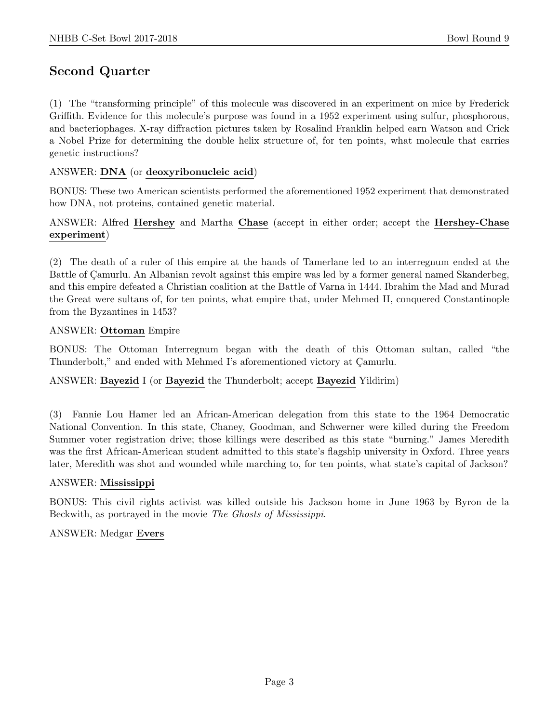# Second Quarter

(1) The "transforming principle" of this molecule was discovered in an experiment on mice by Frederick Griffith. Evidence for this molecule's purpose was found in a 1952 experiment using sulfur, phosphorous, and bacteriophages. X-ray diffraction pictures taken by Rosalind Franklin helped earn Watson and Crick a Nobel Prize for determining the double helix structure of, for ten points, what molecule that carries genetic instructions?

#### ANSWER: DNA (or deoxyribonucleic acid)

BONUS: These two American scientists performed the aforementioned 1952 experiment that demonstrated how DNA, not proteins, contained genetic material.

## ANSWER: Alfred Hershey and Martha Chase (accept in either order; accept the Hershey-Chase experiment)

(2) The death of a ruler of this empire at the hands of Tamerlane led to an interregnum ended at the Battle of Camurlu. An Albanian revolt against this empire was led by a former general named Skanderbeg, and this empire defeated a Christian coalition at the Battle of Varna in 1444. Ibrahim the Mad and Murad the Great were sultans of, for ten points, what empire that, under Mehmed II, conquered Constantinople from the Byzantines in 1453?

#### ANSWER: Ottoman Empire

BONUS: The Ottoman Interregnum began with the death of this Ottoman sultan, called "the Thunderbolt," and ended with Mehmed I's aforementioned victory at Camurlu.

## ANSWER: Bayezid I (or Bayezid the Thunderbolt; accept Bayezid Yildirim)

(3) Fannie Lou Hamer led an African-American delegation from this state to the 1964 Democratic National Convention. In this state, Chaney, Goodman, and Schwerner were killed during the Freedom Summer voter registration drive; those killings were described as this state "burning." James Meredith was the first African-American student admitted to this state's flagship university in Oxford. Three years later, Meredith was shot and wounded while marching to, for ten points, what state's capital of Jackson?

#### ANSWER: Mississippi

BONUS: This civil rights activist was killed outside his Jackson home in June 1963 by Byron de la Beckwith, as portrayed in the movie The Ghosts of Mississippi.

## ANSWER: Medgar Evers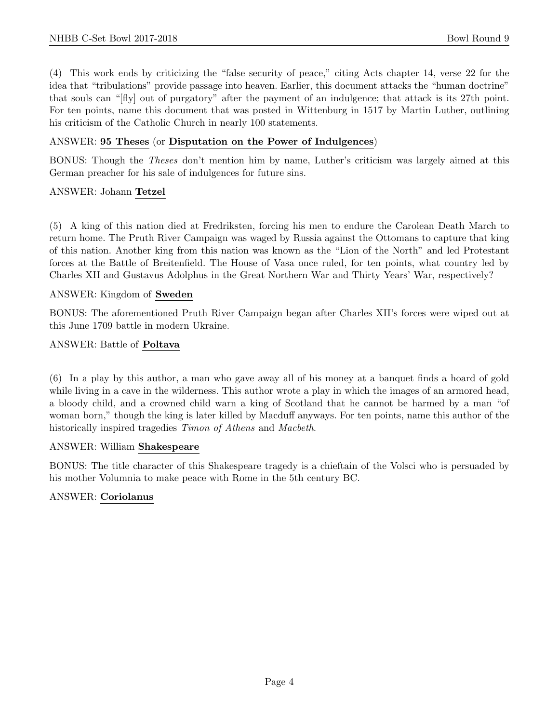(4) This work ends by criticizing the "false security of peace," citing Acts chapter 14, verse 22 for the idea that "tribulations" provide passage into heaven. Earlier, this document attacks the "human doctrine" that souls can "[fly] out of purgatory" after the payment of an indulgence; that attack is its 27th point. For ten points, name this document that was posted in Wittenburg in 1517 by Martin Luther, outlining his criticism of the Catholic Church in nearly 100 statements.

#### ANSWER: 95 Theses (or Disputation on the Power of Indulgences)

BONUS: Though the Theses don't mention him by name, Luther's criticism was largely aimed at this German preacher for his sale of indulgences for future sins.

#### ANSWER: Johann Tetzel

(5) A king of this nation died at Fredriksten, forcing his men to endure the Carolean Death March to return home. The Pruth River Campaign was waged by Russia against the Ottomans to capture that king of this nation. Another king from this nation was known as the "Lion of the North" and led Protestant forces at the Battle of Breitenfield. The House of Vasa once ruled, for ten points, what country led by Charles XII and Gustavus Adolphus in the Great Northern War and Thirty Years' War, respectively?

#### ANSWER: Kingdom of Sweden

BONUS: The aforementioned Pruth River Campaign began after Charles XII's forces were wiped out at this June 1709 battle in modern Ukraine.

#### ANSWER: Battle of Poltava

(6) In a play by this author, a man who gave away all of his money at a banquet finds a hoard of gold while living in a cave in the wilderness. This author wrote a play in which the images of an armored head, a bloody child, and a crowned child warn a king of Scotland that he cannot be harmed by a man "of woman born," though the king is later killed by Macduff anyways. For ten points, name this author of the historically inspired tragedies *Timon of Athens* and *Macbeth*.

#### ANSWER: William Shakespeare

BONUS: The title character of this Shakespeare tragedy is a chieftain of the Volsci who is persuaded by his mother Volumnia to make peace with Rome in the 5th century BC.

#### ANSWER: Coriolanus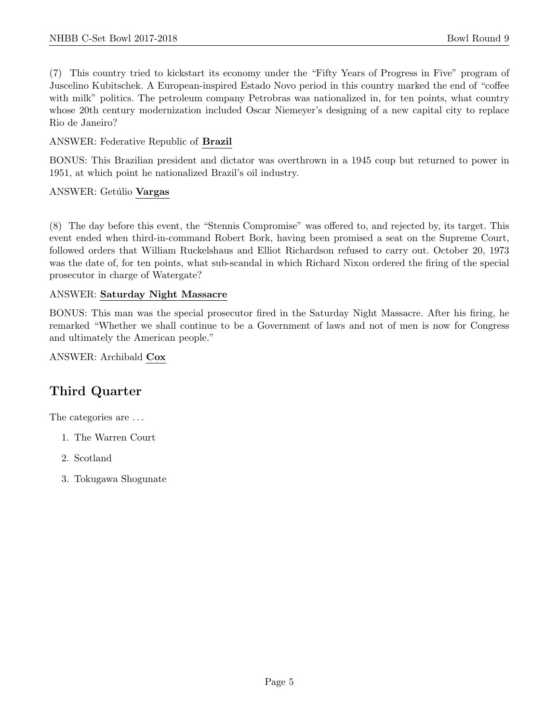(7) This country tried to kickstart its economy under the "Fifty Years of Progress in Five" program of Juscelino Kubitschek. A European-inspired Estado Novo period in this country marked the end of "coffee with milk" politics. The petroleum company Petrobras was nationalized in, for ten points, what country whose 20th century modernization included Oscar Niemeyer's designing of a new capital city to replace Rio de Janeiro?

# ANSWER: Federative Republic of Brazil

BONUS: This Brazilian president and dictator was overthrown in a 1945 coup but returned to power in 1951, at which point he nationalized Brazil's oil industry.

# ANSWER: Getúlio Vargas

(8) The day before this event, the "Stennis Compromise" was offered to, and rejected by, its target. This event ended when third-in-command Robert Bork, having been promised a seat on the Supreme Court, followed orders that William Ruckelshaus and Elliot Richardson refused to carry out. October 20, 1973 was the date of, for ten points, what sub-scandal in which Richard Nixon ordered the firing of the special prosecutor in charge of Watergate?

# ANSWER: Saturday Night Massacre

BONUS: This man was the special prosecutor fired in the Saturday Night Massacre. After his firing, he remarked "Whether we shall continue to be a Government of laws and not of men is now for Congress and ultimately the American people."

ANSWER: Archibald Cox

# Third Quarter

The categories are . . .

- 1. The Warren Court
- 2. Scotland
- 3. Tokugawa Shogunate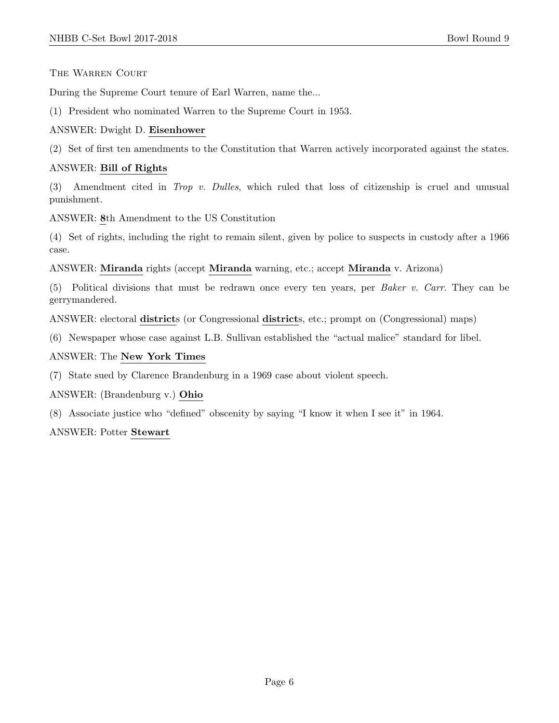THE WARREN COURT

During the Supreme Court tenure of Earl Warren, name the...

(1) President who nominated Warren to the Supreme Court in 1953.

# ANSWER: Dwight D. Eisenhower

(2) Set of first ten amendments to the Constitution that Warren actively incorporated against the states.

# ANSWER: Bill of Rights

(3) Amendment cited in Trop v. Dulles, which ruled that loss of citizenship is cruel and unusual punishment.

ANSWER: 8th Amendment to the US Constitution

(4) Set of rights, including the right to remain silent, given by police to suspects in custody after a 1966 case.

ANSWER: Miranda rights (accept Miranda warning, etc.; accept Miranda v. Arizona)

(5) Political divisions that must be redrawn once every ten years, per Baker v. Carr. They can be gerrymandered.

ANSWER: electoral districts (or Congressional districts, etc.; prompt on (Congressional) maps)

(6) Newspaper whose case against L.B. Sullivan established the "actual malice" standard for libel.

# ANSWER: The New York Times

(7) State sued by Clarence Brandenburg in a 1969 case about violent speech.

ANSWER: (Brandenburg v.) Ohio

(8) Associate justice who "defined" obscenity by saying "I know it when I see it" in 1964.

## ANSWER: Potter Stewart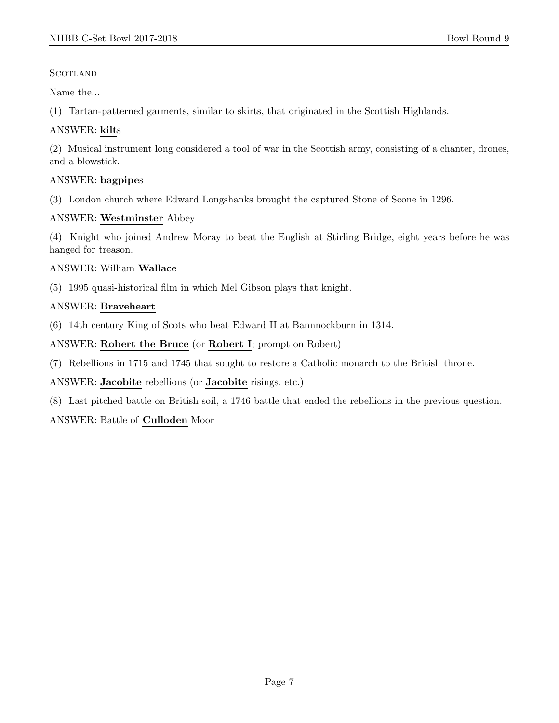**SCOTLAND** 

Name the...

(1) Tartan-patterned garments, similar to skirts, that originated in the Scottish Highlands.

# ANSWER: kilts

(2) Musical instrument long considered a tool of war in the Scottish army, consisting of a chanter, drones, and a blowstick.

# ANSWER: bagpipes

(3) London church where Edward Longshanks brought the captured Stone of Scone in 1296.

# ANSWER: Westminster Abbey

(4) Knight who joined Andrew Moray to beat the English at Stirling Bridge, eight years before he was hanged for treason.

# ANSWER: William Wallace

(5) 1995 quasi-historical film in which Mel Gibson plays that knight.

# ANSWER: Braveheart

(6) 14th century King of Scots who beat Edward II at Bannnockburn in 1314.

ANSWER: Robert the Bruce (or Robert I; prompt on Robert)

(7) Rebellions in 1715 and 1745 that sought to restore a Catholic monarch to the British throne.

ANSWER: Jacobite rebellions (or Jacobite risings, etc.)

(8) Last pitched battle on British soil, a 1746 battle that ended the rebellions in the previous question.

# ANSWER: Battle of Culloden Moor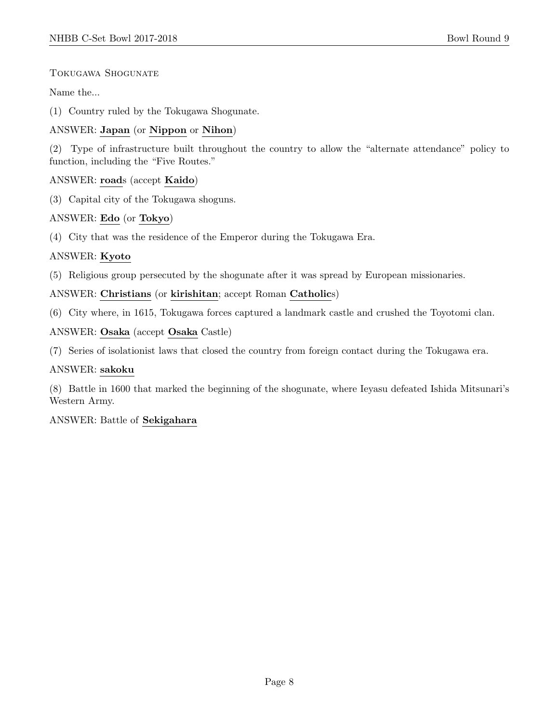# Tokugawa Shogunate

Name the...

(1) Country ruled by the Tokugawa Shogunate.

# ANSWER: Japan (or Nippon or Nihon)

(2) Type of infrastructure built throughout the country to allow the "alternate attendance" policy to function, including the "Five Routes."

# ANSWER: roads (accept Kaido)

(3) Capital city of the Tokugawa shoguns.

# ANSWER: Edo (or Tokyo)

(4) City that was the residence of the Emperor during the Tokugawa Era.

# ANSWER: Kyoto

(5) Religious group persecuted by the shogunate after it was spread by European missionaries.

# ANSWER: Christians (or kirishitan; accept Roman Catholics)

(6) City where, in 1615, Tokugawa forces captured a landmark castle and crushed the Toyotomi clan.

# ANSWER: Osaka (accept Osaka Castle)

(7) Series of isolationist laws that closed the country from foreign contact during the Tokugawa era.

## ANSWER: sakoku

(8) Battle in 1600 that marked the beginning of the shogunate, where Ieyasu defeated Ishida Mitsunari's Western Army.

## ANSWER: Battle of Sekigahara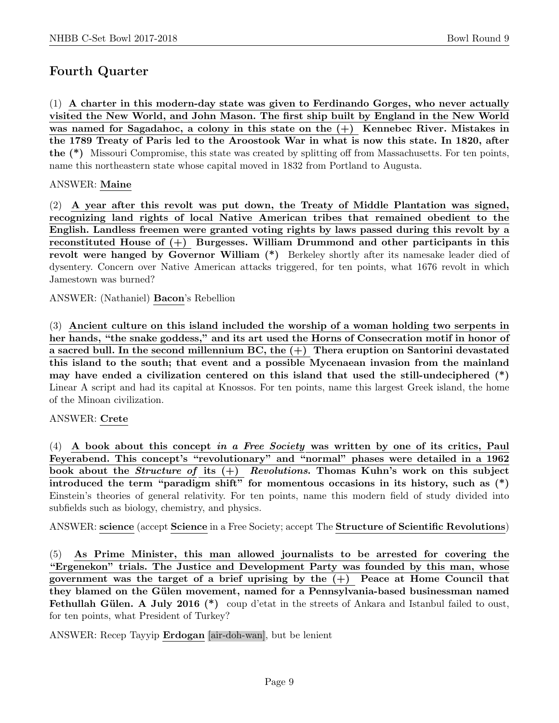# Fourth Quarter

(1) A charter in this modern-day state was given to Ferdinando Gorges, who never actually visited the New World, and John Mason. The first ship built by England in the New World was named for Sagadahoc, a colony in this state on the  $(+)$  Kennebec River. Mistakes in the 1789 Treaty of Paris led to the Aroostook War in what is now this state. In 1820, after the (\*) Missouri Compromise, this state was created by splitting off from Massachusetts. For ten points, name this northeastern state whose capital moved in 1832 from Portland to Augusta.

# ANSWER: Maine

(2) A year after this revolt was put down, the Treaty of Middle Plantation was signed, recognizing land rights of local Native American tribes that remained obedient to the English. Landless freemen were granted voting rights by laws passed during this revolt by a reconstituted House of  $(+)$  Burgesses. William Drummond and other participants in this revolt were hanged by Governor William (\*) Berkeley shortly after its namesake leader died of dysentery. Concern over Native American attacks triggered, for ten points, what 1676 revolt in which Jamestown was burned?

ANSWER: (Nathaniel) Bacon's Rebellion

(3) Ancient culture on this island included the worship of a woman holding two serpents in her hands, "the snake goddess," and its art used the Horns of Consecration motif in honor of a sacred bull. In the second millennium  $BC$ , the  $(+)$  Thera eruption on Santorini devastated this island to the south; that event and a possible Mycenaean invasion from the mainland may have ended a civilization centered on this island that used the still-undeciphered (\*) Linear A script and had its capital at Knossos. For ten points, name this largest Greek island, the home of the Minoan civilization.

## ANSWER: Crete

 $(4)$  A book about this concept in a Free Society was written by one of its critics, Paul Feyerabend. This concept's "revolutionary" and "normal" phases were detailed in a 1962 book about the *Structure of* its  $(+)$  Revolutions. Thomas Kuhn's work on this subject introduced the term "paradigm shift" for momentous occasions in its history, such as (\*) Einstein's theories of general relativity. For ten points, name this modern field of study divided into subfields such as biology, chemistry, and physics.

ANSWER: science (accept Science in a Free Society; accept The Structure of Scientific Revolutions)

(5) As Prime Minister, this man allowed journalists to be arrested for covering the "Ergenekon" trials. The Justice and Development Party was founded by this man, whose government was the target of a brief uprising by the  $(+)$  Peace at Home Council that they blamed on the Gülen movement, named for a Pennsylvania-based businessman named Fethullah Gülen. A July 2016 (\*) coup d'etat in the streets of Ankara and Istanbul failed to oust, for ten points, what President of Turkey?

ANSWER: Recep Tayyip Erdogan [air-doh-wan], but be lenient